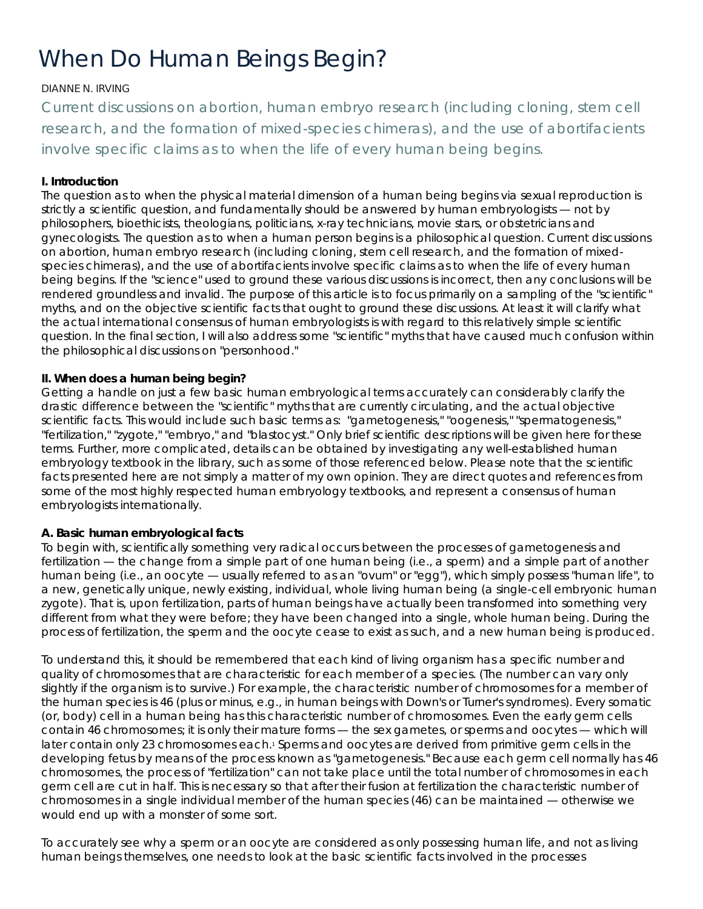# *When Do Human Beings Begin?*

# DIANNE N. IRVING

*Current discussions on abortion, human embryo research (including cloning, stem cell research, and the formation of mixed-species chimeras), and the use of abortifacients involve specific claims as to when the life of every human being begins.*

# **I. Introduction**

The question as to when the physical material dimension of a human *being* begins via sexual reproduction is strictly a scientific question, and fundamentally should be answered by human embryologists — not by philosophers, bioethicists, theologians, politicians, x-ray technicians, movie stars, or obstetricians and gynecologists. The question as to when a human *person* begins is a philosophical question. Current discussions on abortion, human embryo research (including cloning, stem cell research, and the formation of mixedspecies chimeras), and the use of abortifacients involve specific claims as to when the life of every human being begins. If the "science" used to ground these various discussions is incorrect, then any conclusions will be rendered groundless and invalid. The purpose of this article is to focus primarily on a sampling of the "scientific" myths, and on the objective scientific facts that ought to ground these discussions. At least it will clarify what the actual international consensus of human embryologists is with regard to this relatively simple scientific question. In the final section, I will also address some "scientific" myths that have caused much confusion within the philosophical discussions on "personhood."

# **II. When does a human being begin?**

Getting a handle on just a few basic human embryological terms accurately can considerably clarify the drastic difference between the "scientific" myths that are currently circulating, and the actual objective scientific facts. This would include such basic terms as: "gametogenesis," "oogenesis," "spermatogenesis," "fertilization," "zygote," "embryo," and "blastocyst." Only brief scientific descriptions will be given here for these terms. Further, more complicated, details can be obtained by investigating any well-established human embryology textbook in the library, such as some of those referenced below. Please note that the scientific facts presented here are not simply a matter of my own opinion. They are direct quotes and references from some of the most highly respected human embryology textbooks, and represent a consensus of human embryologists internationally.

## **A. Basic human embryological facts**

To begin with, scientifically something very radical occurs between the processes of gametogenesis and fertilization — the change from a simple *part* of one human being (i.e., a sperm) and a simple *part* of another human being (i.e., an oocyte — usually referred to as an "ovum" or "egg"), which simply possess "human life", to a new, genetically unique, newly existing, individual, whole living human being (a single-cell embryonic human zygote). That is, upon fertilization, parts of human beings have actually been transformed into something very different from what they were before; they have been changed into a single, whole human being. During the process of fertilization, the sperm and the oocyte cease to exist as such, and a new human being is produced.

To understand this, it should be remembered that each kind of living organism has a specific number and quality of chromosomes that are characteristic for each member of a species. (The number can vary only slightly if the organism is to survive.) For example, the characteristic number of chromosomes for a member of the human species is 46 (plus or minus, e.g., in human beings with Down's or Turner's syndromes). Every somatic (or, body) cell in a human being has this characteristic number of chromosomes. Even the early germ cells contain 46 chromosomes; it is only their mature forms — the sex gametes, or sperms and oocytes — which will later contain only 23 chromosomes each.<sup>1</sup> Sperms and oocytes are derived from primitive germ cells in the developing fetus by means of the process known as "gametogenesis." Because each germ cell normally has 46 chromosomes, the process of "fertilization" can not take place until the total number of chromosomes in each germ cell are cut in half. This is necessary so that after their fusion at fertilization the characteristic number of chromosomes in a single individual member of the human species (46) can be maintained — otherwise we would end up with a monster of some sort.

To accurately see why a sperm or an oocyte are considered as only possessing human life, and not as living human beings themselves, one needs to look at the basic scientific facts involved in the processes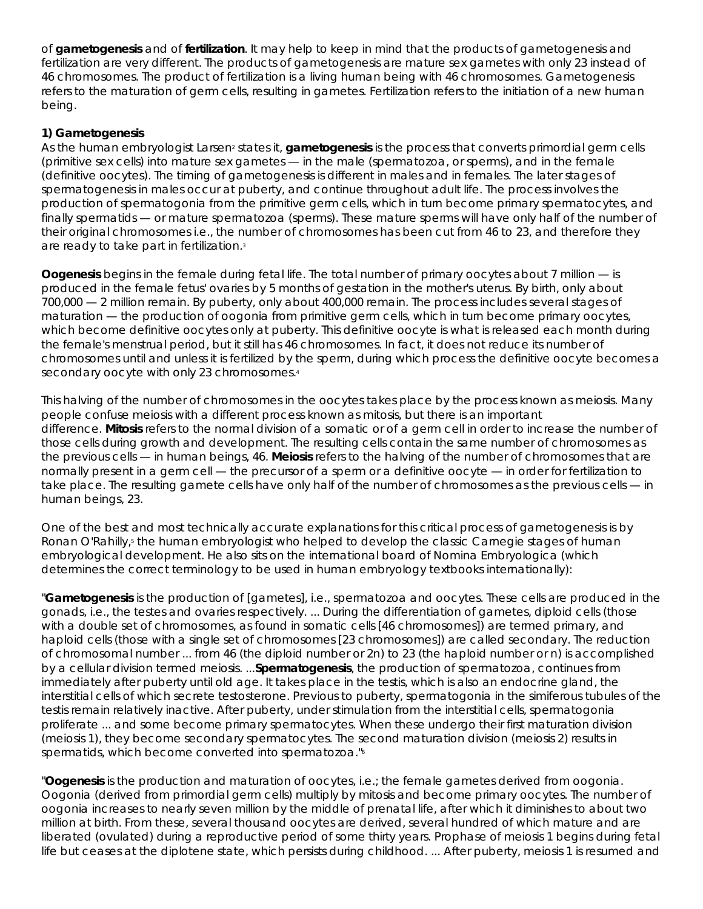of **gametogenesis** and of **fertilization**. It may help to keep in mind that the products of gametogenesis and fertilization are very different. The products of gametogenesis are mature sex gametes with only 23 instead of 46 chromosomes. The product of fertilization is a living human being with 46 chromosomes. Gametogenesis refers to the maturation of germ cells, resulting in gametes. Fertilization refers to the initiation of a new human being.

# **1) Gametogenesis**

As the human embryologist Larsen<sup>2</sup> states it, **gametogenesis** is the process that converts primordial germ cells (primitive sex cells) into mature sex gametes — in the male (spermatozoa, or sperms), and in the female (definitive oocytes). The timing of gametogenesis is different in males and in females. The later stages of spermatogenesis in males occur at puberty, and continue throughout adult life. The process involves the production of spermatogonia from the primitive germ cells, which in turn become primary spermatocytes, and finally spermatids — or mature spermatozoa (sperms). These mature sperms will have only half of the number of their original chromosomes i.e., the number of chromosomes has been cut from 46 to 23, and therefore they are ready to take part in fertilization.3

**Oogenesis** begins in the female during fetal life. The total number of primary oocytes about 7 million — is produced in the female fetus' ovaries by 5 months of gestation in the mother's uterus. By birth, only about 700,000 — 2 million remain. By puberty, only about 400,000 remain. The process includes several stages of maturation — the production of oogonia from primitive germ cells, which in turn become primary oocytes, which become definitive oocytes only at puberty. This definitive oocyte is what is released each month during the female's menstrual period, but it still has 46 chromosomes. In fact, it does not reduce its number of chromosomes until and unless it is fertilized by the sperm, during which process the definitive oocyte becomes a secondary oocyte with only 23 chromosomes.<sup>4</sup>

This halving of the number of chromosomes in the oocytes takes place by the process known as meiosis. Many people confuse meiosis with a different process known as mitosis, but there is an important difference. **Mitosis** refers to the normal division of a somatic or of a germ cell in order to increase the number of those cells during growth and development. The resulting cells contain the same number of chromosomes as the previous cells — in human beings, 46. **Meiosis** refers to the halving of the number of chromosomes that are normally present in a germ cell — the precursor of a sperm or a definitive oocyte — in order for fertilization to take place. The resulting gamete cells have only half of the number of chromosomes as the previous cells — in human beings, 23.

One of the best and most technically accurate explanations for this critical process of gametogenesis is by Ronan O'Rahilly,<sup>5</sup> the human embryologist who helped to develop the classic Carnegie stages of human embryological development. He also sits on the international board of *Nomina Embryologica* (which determines the correct terminology to be used in human embryology textbooks internationally):

"**Gametogenesis** is the production of [gametes], i.e., spermatozoa and oocytes. These cells are produced in the gonads, i.e., the testes and ovaries respectively. ... During the differentiation of gametes, diploid cells (those with a double set of chromosomes, as found in somatic cells [46 chromosomes]) are termed primary, and haploid cells (those with a single set of chromosomes [23 chromosomes]) are called secondary. The reduction of chromosomal number ... from 46 (the diploid number or 2n) to 23 (the haploid number or n) is accomplished by a cellular division termed meiosis. ...**Spermatogenesis**, the production of spermatozoa, continues from immediately after puberty until old age. It takes place in the testis, which is also an endocrine gland, the interstitial cells of which secrete testosterone. Previous to puberty, spermatogonia in the simiferous tubules of the testis remain relatively inactive. After puberty, under stimulation from the interstitial cells, spermatogonia proliferate ... and some become primary spermatocytes. When these undergo their first maturation division (meiosis 1), they become secondary spermatocytes. The second maturation division (meiosis 2) results in spermatids, which become converted into spermatozoa."6

"**Oogenesis** is the production and maturation of oocytes, i.e.; the female gametes derived from oogonia. Oogonia (derived from primordial germ cells) multiply by mitosis and become primary oocytes. The number of oogonia increases to nearly seven million by the middle of prenatal life, after which it diminishes to about two million at birth. From these, several thousand oocytes are derived, several hundred of which mature and are liberated (ovulated) during a reproductive period of some thirty years. Prophase of meiosis 1 begins during fetal life but ceases at the diplotene state, which persists during childhood. ... After puberty, meiosis 1 is resumed and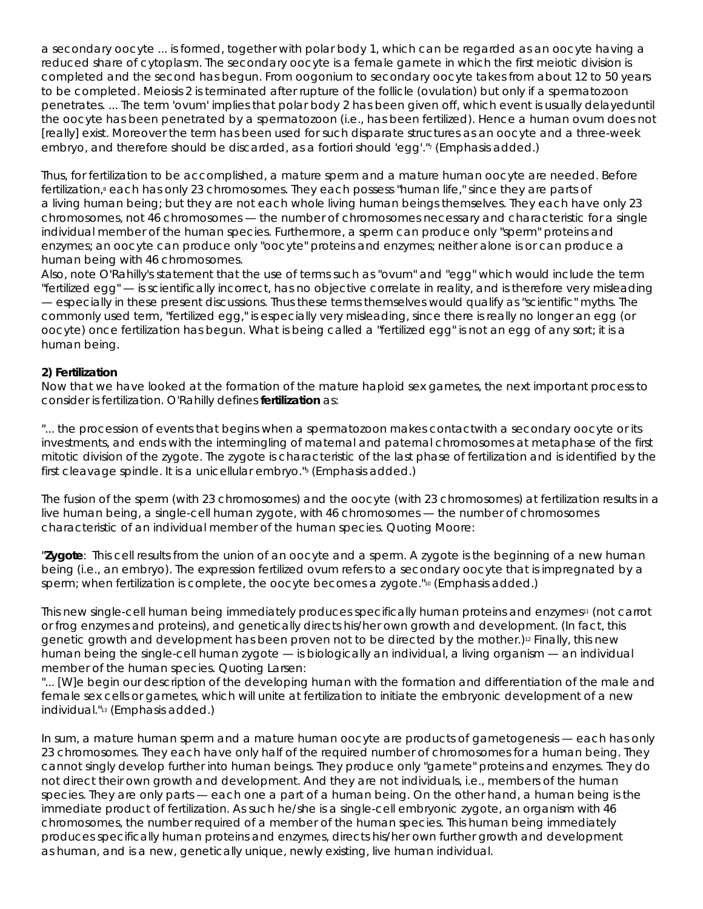a secondary oocyte ... is formed, together with polar body 1, which can be regarded as an oocyte having a reduced share of cytoplasm. The secondary oocyte is a female gamete in which the first meiotic division is completed and the second has begun. From oogonium to secondary oocyte takes from about 12 to 50 years to be completed. *Meiosis 2 is terminated after rupture of the follicle (ovulation) but only if a spermatozoon penetrates*. ... The term 'ovum' implies that polar body 2 has been given off, which event is usually delayed*until the oocyte has been penetrated by a spermatozoon (i.e., has been fertilized)*. Hence a human ovum does not [really] exist. Moreover the term has been used for such disparate structures as an oocyte and a three-week embryo, and therefore should be discarded, as *a fortiori* should 'egg'."7 (Emphasis added.)

Thus, for fertilization to be accomplished, a mature sperm and a mature human oocyte are needed. Before fertilization,<sup>8</sup> each has only 23 chromosomes. They each possess "human life," since they are parts of a *living* human being; but they are not each whole living human beings themselves. They each have only 23 chromosomes, not 46 chromosomes — the number of chromosomes necessary and characteristic for a single individual member of the human species. Furthermore, a sperm can produce only "sperm" proteins and enzymes; an oocyte can produce only "oocyte" proteins and enzymes; neither alone is or can produce a human being with 46 chromosomes.

Also, note O'Rahilly's statement that the use of terms such as "ovum" and "egg" which would include the term "fertilized egg" — is scientifically incorrect, has no objective correlate in reality, and is therefore very misleading — especially in these present discussions. Thus these terms themselves would qualify as "scientific" myths. The commonly used term, "fertilized egg," is especially very misleading, since there is really no longer an egg (or oocyte) once fertilization has begun. What is being called a "fertilized egg" is not an egg of any sort; it is a human being.

## **2) Fertilization**

Now that we have looked at the formation of the mature haploid sex gametes, the next important process to consider is fertilization. O'Rahilly defines **fertilization** as:

"... the procession of events that begins when a spermatozoon *makes contact*with a secondary oocyte or its investments, and ends with the intermingling of maternal and paternal chromosomes at metaphase of the first mitotic division of the *zygote*. The zygote is characteristic of the last phase of fertilization and is identified by the first cleavage spindle. It is a unicellular *embryo*."9 (Emphasis added.)

The fusion of the sperm (with 23 chromosomes) and the oocyte (with 23 chromosomes) at fertilization results in a live human being, a single-cell human zygote, with 46 chromosomes — the number of chromosomes characteristic of an individual member of the human species. Quoting Moore:

"**Zygote**: This cell results from the union of an oocyte and a sperm. *A zygote is the beginning of a new human being (i.e., an embryo)*. The expression fertilized ovum refers to a secondary oocyte that is impregnated by a sperm; when fertilization is complete, the oocyte becomes a zygote."<sup>10</sup> (Emphasis added.)

This new single-cell human being immediately produces specifically human proteins and enzymes<sup>11</sup> (not carrot or frog enzymes and proteins), and genetically directs his/her own growth and development. (In fact, this genetic growth and development has been proven not to be directed by the mother.)<sup>12</sup> Finally, this new human being the single-cell human zygote — is biologically an *individual*, a living organism — an individual member of the human species. Quoting Larsen:

"... [W]e begin our description of the developing human with the formation and differentiation of the male and female sex cells or gametes, which will unite at fertilization to initiate the embryonic development of *a new individual*."13 (Emphasis added.)

In sum, *a mature human sperm and a mature human oocyte are products of gametogenesis — each has only 23 chromosomes*. They each have only half of the required number of chromosomes for a human being. They cannot singly develop further into human beings. They produce only "gamete" proteins and enzymes. They do not direct their own growth and development. And they are not individuals, i.e., members of the human species. They are only parts — each one a part of a human being. On the other hand, *a human being is the immediate product of fertilization*. As such he/she is a single-cell embryonic zygote, an organism *with 46 chromosomes*, the number required of a member of the human species. This human being immediately produces specifically human proteins and enzymes, directs his/her own further growth and development as *human*, and is a new, genetically unique, newly existing, live human *individual*.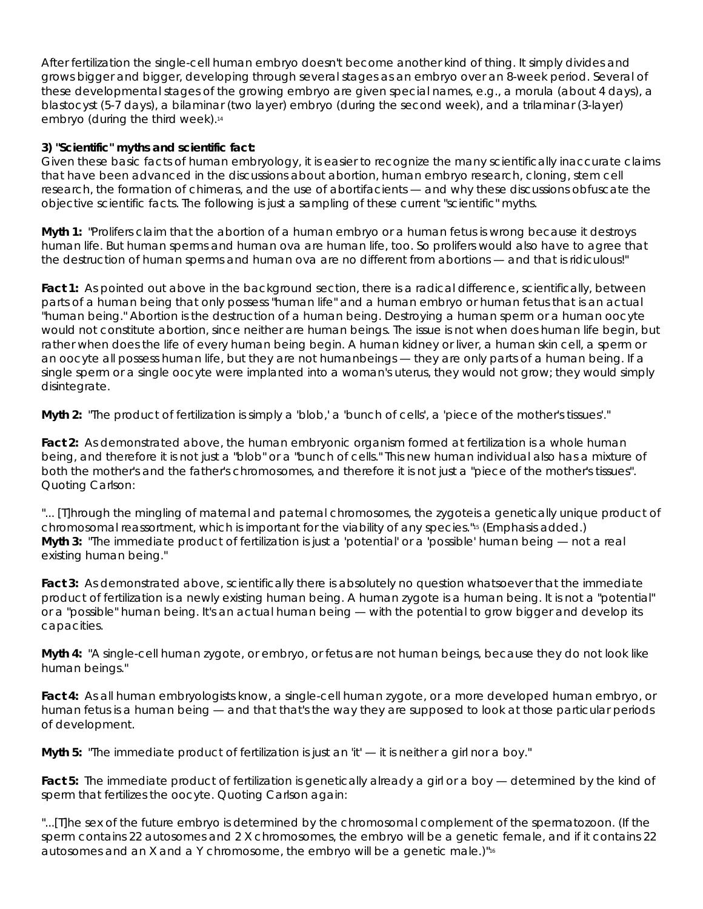After fertilization the single-cell human embryo doesn't become another kind of thing. It simply divides and grows bigger and bigger, developing through several stages as an embryo over an 8-week period. Several of these developmental stages of the growing embryo are given special names, e.g., a morula (about 4 days), a blastocyst (5-7 days), a bilaminar (two layer) embryo (during the second week), and a trilaminar (3-layer) embryo (during the third week).<sup>14</sup>

# **3) "Scientific" myths and scientific fact:**

Given these basic facts of human embryology, it is easier to recognize the many scientifically inaccurate claims that have been advanced in the discussions about abortion, human embryo research, cloning, stem cell research, the formation of chimeras, and the use of abortifacients — and why these discussions obfuscate the objective scientific facts. The following is just a sampling of these current "scientific" myths.

**Myth 1:** "Prolifers claim that the abortion of a human embryo or a human fetus is wrong because it destroys human life. But human sperms and human ova are human life, too. So prolifers would also have to agree that the destruction of human sperms and human ova are no different from abortions — and that is ridiculous!"

**Fact 1:** As pointed out above in the background section, there is a radical difference, scientifically, between parts of a human being that only possess "human life" and a human embryo or human fetus that is an actual "human being." Abortion is the destruction of a human being. Destroying a human sperm or a human oocyte would not constitute abortion, since neither are human beings. The issue is not when does human *life* begin, but rather when does the life of every human *being* begin. A human kidney or liver, a human skin cell, a sperm or an oocyte all possess human *life*, but they are not human*beings* — they are only parts of a human being. If a single sperm or a single oocyte were implanted into a woman's uterus, they would not grow; they would simply disintegrate.

**Myth 2:** "The product of fertilization is simply a 'blob,' a 'bunch of cells', a 'piece of the mother's tissues'."

**Fact 2:** As demonstrated above, the human embryonic organism formed at fertilization is a whole human being, and therefore it is not just a "blob" or a "bunch of cells." This new human individual also has a mixture of both the mother's and the father's chromosomes, and therefore it is not just a "piece of the mother's tissues". Quoting Carlson:

"... [T]hrough the mingling of maternal and paternal chromosomes, the zygote*is a genetically unique product of chromosomal reassortment*, which is important for the viability of any species."15 (Emphasis added.) **Myth 3:** "The immediate product of fertilization is just a 'potential' or a 'possible' human being — not a real existing human being."

**Fact 3:** As demonstrated above, scientifically there is absolutely no question whatsoever that the immediate product of fertilization is a newly existing human being. A human zygote is a human being. It is not a "potential" or a "possible" human being. It's an actual human being — with the potential to grow bigger and develop its capacities.

**Myth 4:** "A single-cell human zygote, or embryo, or fetus are not human beings, because they do not look like human beings."

**Fact 4:** As all human embryologists know, a single-cell human zygote, or a more developed human embryo, or human fetus is a human being — and that that's the way they are supposed to look at those particular periods of development.

**Myth 5:** "The immediate product of fertilization is just an 'it' — it is neither a girl nor a boy."

**Fact 5:** The immediate product of fertilization is genetically already a girl or a boy — determined by the kind of sperm that fertilizes the oocyte. Quoting Carlson again:

"...[T]he sex of the future embryo is determined by the chromosomal complement of the spermatozoon. (If the sperm contains 22 autosomes and 2 X chromosomes, the embryo will be a genetic female, and if it contains 22 autosomes and an X and a Y chromosome, the embryo will be a genetic male.)"16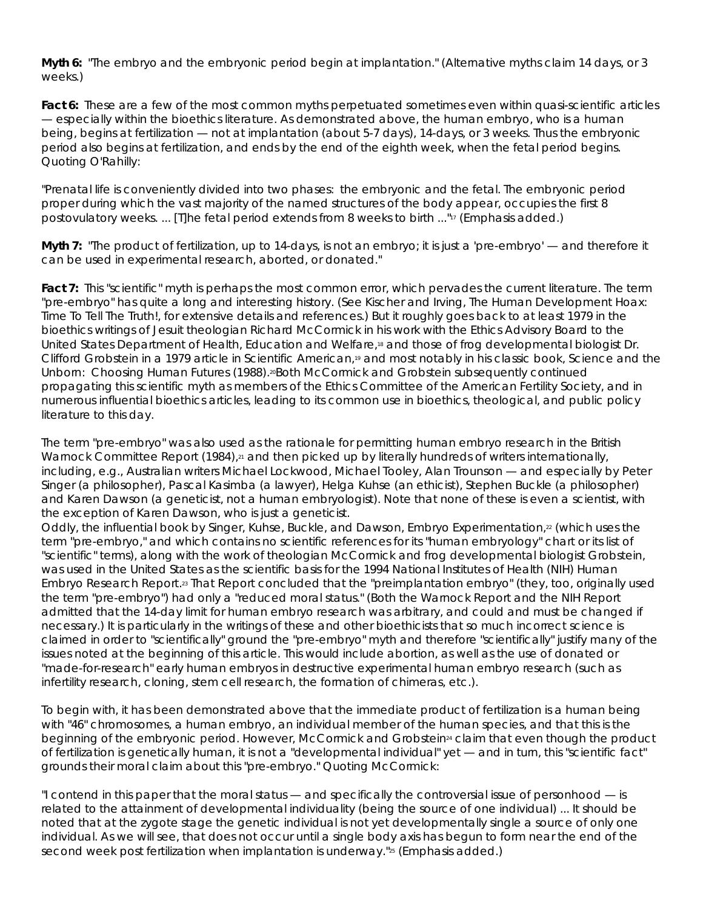**Myth 6:** "The embryo and the embryonic period begin at implantation." (Alternative myths claim 14 days, or 3 weeks.)

**Fact 6:** These are a few of the most common myths perpetuated sometimes even within quasi-scientific articles — especially within the bioethics literature. As demonstrated above, the human embryo, who is a human being, begins at fertilization — not at implantation (about 5-7 days), 14-days, or 3 weeks. Thus the embryonic period also begins at fertilization, and ends by the end of the eighth week, when the fetal period begins. Quoting O'Rahilly:

"Prenatal life is conveniently divided into two phases: the embryonic and the fetal. The *embryonic period proper* during which the vast majority of the named structures of the body appear, occupies the *first 8 postovulatory weeks*. ... [T]he fetal period extends from 8 weeks to birth ..."17 (Emphasis added.)

**Myth 7:** "The product of fertilization, up to 14-days, is not an embryo; it is just a 'pre-embryo' — and therefore it can be used in experimental research, aborted, or donated."

**Fact 7:** This "scientific" myth is perhaps the most common error, which pervades the current literature. The term "pre-embryo" has quite a long and interesting history. (See Kischer and Irving, *The Human Development Hoax: Time To Tell The Truth!*, for extensive details and references.) But it roughly goes back to at least 1979 in the bioethics writings of Jesuit theologian Richard McCormick in his work with the Ethics Advisory Board to the United States Department of Health, Education and Welfare,18 and those of frog developmental biologist Dr. Clifford Grobstein in a 1979 article in *Scientific American*,19 and most notably in his classic book, *Science and the Unborn: Choosing Human Futures* (1988).<sup>20</sup>Both McCormick and Grobstein subsequently continued propagating this scientific myth as members of the Ethics Committee of the American Fertility Society, and in numerous influential bioethics articles, leading to its common use in bioethics, theological, and public policy literature to this day.

The term "pre-embryo" was also used as the rationale for permitting human embryo research in the British Warnock Committee Report  $(1984)_{\ell^2}$  and then picked up by literally hundreds of writers internationally, including, e.g., Australian writers Michael Lockwood, Michael Tooley, Alan Trounson — and especially by Peter Singer (a philosopher), Pascal Kasimba (a lawyer), Helga Kuhse (an ethicist), Stephen Buckle (a philosopher) and Karen Dawson (a geneticist, not a human embryologist). Note that none of these is even a scientist, with the exception of Karen Dawson, who is just a geneticist.

Oddly, the influential book by Singer, Kuhse, Buckle, and Dawson, *Embryo Experimentation*,<sup>22</sup> (which uses the term "pre-embryo," and which contains no scientific references for its "human embryology" chart or its list of "scientific" terms), along with the work of theologian McCormick and frog developmental biologist Grobstein, was used in the United States as the *scientific* basis for the 1994 National Institutes of Health (NIH) Human Embryo Research Report.23 That Report concluded that the "preimplantation embryo" (they, too, originally used the term "pre-embryo") had only a "reduced moral status." (Both the Warnock Report and the NIH Report admitted that the 14-day limit for human embryo research was arbitrary, and could and must be changed if necessary.) It is particularly in the writings of these and other bioethicists that so much incorrect science is claimed in order to "scientifically" ground the "pre-embryo" myth and therefore "scientifically" justify many of the issues noted at the beginning of this article. This would include abortion, as well as the use of donated or "made-for-research" early human embryos in destructive experimental human embryo research (such as infertility research, cloning, stem cell research, the formation of chimeras, etc.).

To begin with, it has been demonstrated above that the immediate product of fertilization is a human being with "46" chromosomes, a human embryo, an individual member of the human species, and that this is the beginning of the embryonic period. However, McCormick and Grobstein<sup>24</sup> claim that even though the product of fertilization is genetically human, it is not a "developmental individual" yet — and in turn, this "scientific fact" grounds their moral claim about this "pre-embryo." Quoting McCormick:

"I contend in this paper that *the moral status* — and specifically the controversial issue of personhood — *is related to the attainment of developmental individuality* (being the source of one individual) ... It should be noted that at the zygote stage the genetic individual is not yet developmentally single a source of only one individual. As we will see, that does not occur until a single body axis has begun to form near the end of the second week post fertilization when implantation is underway."<sup>25</sup> (Emphasis added.)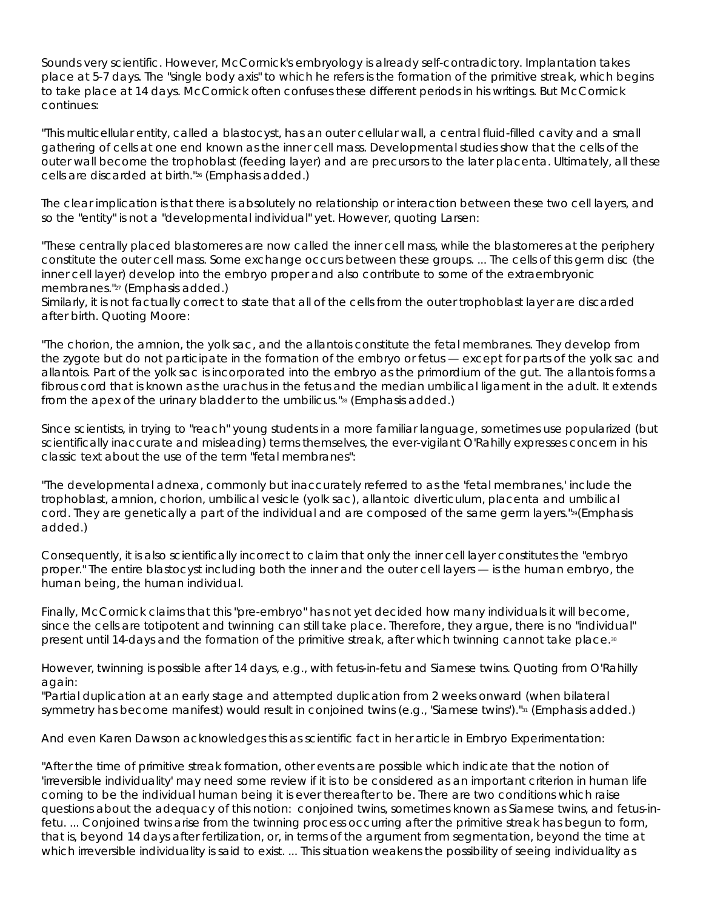Sounds very scientific. However, McCormick's embryology is already self-contradictory. Implantation takes place at 5-7 days. The "single body axis" to which he refers is the formation of the primitive streak, which begins to take place at 14 days. McCormick often confuses these different periods in his writings. But McCormick continues:

"This multicellular entity, called a blastocyst, has an outer cellular wall, a central fluid-filled cavity and a small gathering of cells at one end known as the inner cell mass. Developmental studies show that the cells of the outer wall become the trophoblast (feeding layer) and are precursors to the later placenta. Ultimately, *all* these cells are discarded at birth."26 (Emphasis added.)

The clear implication is that there is absolutely no relationship or interaction between these two cell layers, and so the "entity" is not a "developmental individual" yet. However, quoting Larsen:

"These centrally placed blastomeres are now called the inner cell mass, while the blastomeres at the periphery constitute the outer cell mass. *Some exchange occurs between these groups*. ... The cells of this germ disc (the inner cell layer) develop into the embryo proper and also contribute to some of the extraembryonic membranes."27 (Emphasis added.)

Similarly, it is not factually correct to state that all of the cells from the outer trophoblast layer are discarded after birth. Quoting Moore:

"The chorion, the amnion, the yolk sac, and the allantois constitute the fetal membranes. They develop from the zygote but do not participate in the formation of the embryo or fetus — *except for parts of the yolk sac and allantois. Part of the yolk sac is incorporated into the embryo as the primordium of the gut. The allantois forms a fibrous cord that is known as the urachus in the fetus and the median umbilical ligament in the adult. It extends from the apex of the urinary bladder to the umbilicus.*"28 (Emphasis added.)

Since scientists, in trying to "reach" young students in a more familiar language, sometimes use popularized (but scientifically inaccurate and misleading) terms themselves, the ever-vigilant O'Rahilly expresses concern in his classic text about the use of the term "fetal membranes":

"The developmental adnexa, commonly *but inaccurately* referred to as the 'fetal membranes,' include the trophoblast, amnion, chorion, umbilical vesicle (yolk sac), allantoic diverticulum, placenta and umbilical cord. *They are genetically a part of the individual and are composed of the same germ layers.*"29(Emphasis added.)

Consequently, it is also scientifically incorrect to claim that only the inner cell layer constitutes the "embryo proper." *The entire blastocyst including both the inner and the outer cell layers — is the human embryo, the human being, the human individual.*

Finally, McCormick claims that this "pre-embryo" has not yet decided how many individuals it will become, since the cells are totipotent and twinning can still take place. Therefore, they argue, there is no "individual" present until 14-days and the formation of the primitive streak, after which twinning cannot take place.<sup>30</sup>

However, *twinning is possible after 14 days*, e.g., with fetus-in-fetu and Siamese twins. Quoting from O'Rahilly again:

"Partial duplication at an early stage and attempted duplication *from 2 weeks onward* (when bilateral symmetry has become manifest) would result in conjoined twins (e.g., 'Siamese twins')."<sup>31</sup> (Emphasis added.)

And even Karen Dawson acknowledges this as scientific fact in her article in Embryo Experimentation:

"*After the time of primitive streak formation*, other events are possible which indicate that the notion of 'irreversible individuality' may need some review if it is to be considered as an important criterion in human life coming to be the individual human being it is ever thereafter to be. There are two conditions which raise questions about the adequacy of this notion: conjoined twins, sometimes known as Siamese twins, and fetus-infetu. ... Conjoined twins arise from the twinning process *occurring after the primitive streak has begun to form, that is, beyond 14 days after fertilization*, or, in terms of the argument from segmentation, beyond the time at which irreversible individuality is said to exist. ... This situation weakens the possibility of seeing individuality as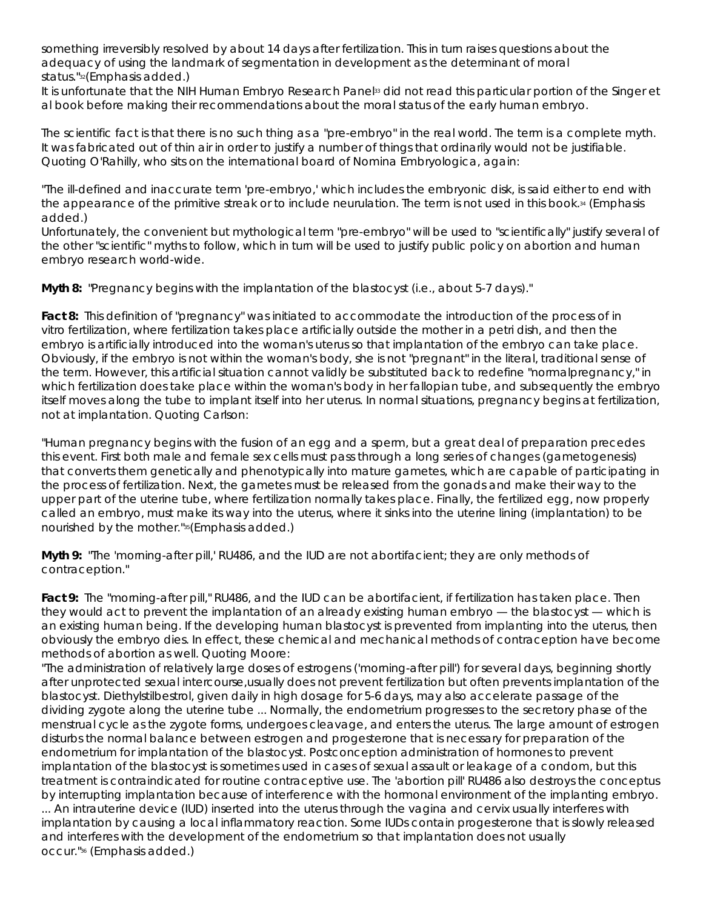something irreversibly resolved by about 14 days after fertilization. This in turn raises questions about the adequacy of using the landmark of segmentation in development as the determinant of moral status."32(Emphasis added.)

It is unfortunate that the NIH Human Embryo Research Panel<sup>33</sup> did not read this particular portion of the Singer et al book before making their recommendations about the moral status of the early human embryo.

The scientific fact is that there is no such thing as a "pre-embryo" in the real world. The term is a complete myth. It was fabricated out of thin air in order to justify a number of things that ordinarily would not be justifiable. Quoting O'Rahilly, who sits on the international board of *Nomina Embryologica*, again:

"The *ill-defined and inaccurate term 'pre-embryo*,' which includes the embryonic disk, is said either to end with the appearance of the primitive streak or to include neurulation. *The term is not used in this book*.34 (Emphasis added.)

Unfortunately, the convenient but mythological term "pre-embryo" will be used to "scientifically" justify several of the other "scientific" myths to follow, which in turn will be used to justify public policy on abortion and human embryo research world-wide.

**Myth 8:** "Pregnancy begins with the implantation of the blastocyst (i.e., about 5-7 days)."

**Fact 8:** This definition of "pregnancy" was initiated to accommodate the introduction of the process of *in vitro* fertilization, where fertilization takes place artificially outside the mother in a petri dish, and then the embryo is artificially introduced into the woman's uterus so that implantation of the embryo can take place. Obviously, if the embryo is not within the woman's body, she is not "pregnant" in the literal, traditional sense of the term. However, this *artificial* situation cannot validly be substituted back to redefine "*normal*pregnancy," in which fertilization *does* take place within the woman's body in her fallopian tube, and subsequently the embryo itself moves along the tube to implant itself into her uterus. In normal situations, pregnancy begins at fertilization, not at implantation. Quoting Carlson:

"*Human pregnancy begins with the fusion of an egg and a sperm*, but a great deal of preparation precedes this event. First both male and female sex cells must pass through a long series of changes (gametogenesis) that converts them genetically and phenotypically into mature gametes, which are capable of participating in the process of fertilization. Next, the gametes must be released from the gonads and make their way to the upper part of the uterine tube, where fertilization *normally* takes place. Finally, the fertilized egg, *now properly called an embryo*, must make its way into the uterus, where it sinks into the uterine lining (implantation) to be nourished by the mother."35(Emphasis added.)

**Myth 9:** "The 'morning-after pill,' RU486, and the IUD are not abortifacient; they are only methods of contraception."

**Fact 9:** The "morning-after pill," RU486, and the IUD *can* be abortifacient, *if fertilization has taken place*. Then they would act to prevent the implantation of an already existing human embryo — the blastocyst — which is an existing human being. If the developing human blastocyst is prevented from implanting into the uterus, then obviously the embryo dies. In effect, these chemical and mechanical methods of contraception have become methods of abortion as well. Quoting Moore:

"The administration of relatively large doses of estrogens ('morning-after pill') for several days, beginning shortly after unprotected sexual intercourse,*usually does not prevent fertilization but often prevents implantation of the blastocyst.* Diethylstilbestrol, given daily in high dosage for 5-6 days, may also accelerate passage of the dividing zygote along the uterine tube ... Normally, the endometrium progresses to the secretory phase of the menstrual cycle as the zygote forms, undergoes cleavage, and enters the uterus. The large amount of estrogen disturbs the normal balance between estrogen and progesterone that is necessary for preparation of the endometrium for implantation of the blastocyst. Postconception administration of hormones to prevent implantation of the blastocyst is sometimes used in cases of sexual assault or leakage of a condom, but this treatment is contraindicated for routine contraceptive use. *The 'abortion pill' RU486 also destroys the conceptus by interrupting implantation* because of interference with the hormonal environment of the implanting embryo. ... An intrauterine device (IUD) inserted into the uterus through the vagina and cervix usually interferes with implantation by causing a local inflammatory reaction. Some IUDs contain progesterone that is slowly released and interferes with the development of the endometrium so that implantation does not usually

occur."36 (Emphasis added.)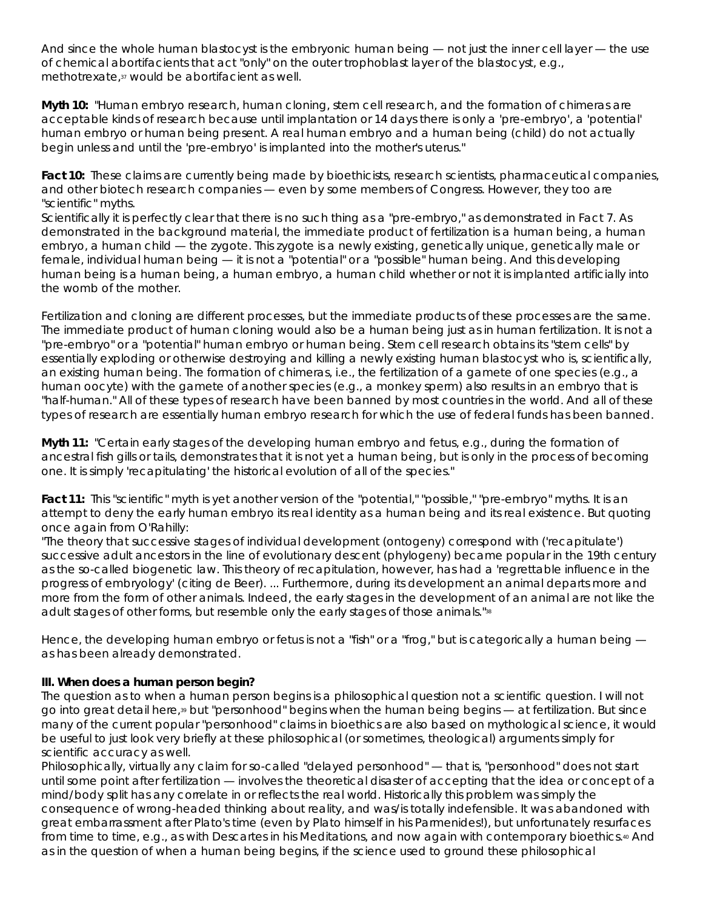And since the *whole* human blastocyst is the embryonic human being — not *just* the inner cell layer — the use of chemical abortifacients that act "only" on the outer trophoblast layer of the blastocyst, e.g., methotrexate,37 would be abortifacient as well.

**Myth 10:** "Human embryo research, human cloning, stem cell research, and the formation of chimeras are acceptable kinds of research because until implantation or 14 days there is only a 'pre-embryo', a 'potential' human embryo or human being present. A real human embryo and a human being (child) do not actually begin unless and until the 'pre-embryo' is implanted into the mother's uterus."

Fact 10: These claims are currently being made by bioethicists, research scientists, pharmaceutical companies, and other biotech research companies — even by some members of Congress. However, they too are "scientific" myths.

Scientifically it is perfectly clear that *there is no such thing as a "pre-embryo,"* as demonstrated in Fact 7. As demonstrated in the background material, the immediate product of fertilization is a human being, a human embryo, a human child — the zygote. This zygote is a newly existing, genetically unique, genetically male or female, individual human being — *it is not a "potential" or a "possible" human being*. And this developing human being is a human being, a human embryo, a human child *whether or not it is implanted artificially into the womb of the mother*.

Fertilization and cloning are different processes, but the immediate products of these processes are the same. The immediate product of human cloning would also be a human being just as in human fertilization. It is not a "pre-embryo" or a "potential" human embryo or human being. Stem cell research obtains its "stem cells" by essentially exploding or otherwise destroying and killing a newly existing human blastocyst who is, scientifically, an existing human being. The formation of chimeras, i.e., the fertilization of a gamete of one species (e.g., a human oocyte) with the gamete of another species (e.g., a monkey sperm) also results in an embryo that is "half-human." All of these types of research have been banned by most countries in the world. *And all of these types of research are essentially human embryo research* for which the use of federal funds has been banned.

**Myth 11:** "Certain early stages of the developing human embryo and fetus, e.g., during the formation of ancestral fish gills or tails, demonstrates that it is not yet a human being, but is only in the process of becoming one. It is simply 'recapitulating' the historical evolution of all of the species."

**Fact 11:** This "scientific" myth is yet another version of the "potential," "possible," "pre-embryo" myths. It is an attempt to deny the early human embryo its real identity as a human being and its real existence. But quoting once again from O'Rahilly:

"The theory that successive stages of individual development (ontogeny) correspond with ('recapitulate') successive adult ancestors in the line of evolutionary descent (phylogeny) became popular in the 19th century as the so-called biogenetic law. This theory of recapitulation, however, has had a 'regrettable influence in the progress of embryology' (citing de Beer). ... Furthermore, during its development an animal departs more and more from the form of other animals. Indeed, the early stages in the development of an animal are not like the adult stages of other forms, but resemble only the early stages of those animals."38

Hence, the developing human embryo or fetus is not a "fish" or a "frog," but is categorically a human being as has been already demonstrated.

# **III. When does a human person begin?**

The question as to when a human person *begins* is a *philosophical* question not a scientific question. I will not go into great detail here,39 but "personhood" begins when the human being begins — at fertilization. But since many of the current popular "personhood" claims in bioethics are also based on mythological science, it would be useful to just look very briefly at these philosophical (or sometimes, theological) arguments simply for scientific accuracy as well.

Philosophically, virtually *any* claim for so-called "*delayed* personhood" — that is, "personhood" does not start until some point *after* fertilization — involves the theoretical disaster of accepting that the idea or concept of a mind/body split has any correlate in or reflects the real world. Historically this problem was simply the consequence of wrong-headed thinking about reality, and was/is totally indefensible. It was abandoned with great embarrassment after Plato's time (even by Plato himself in his *Parmenides*!), but unfortunately resurfaces from time to time, e.g., as with Descartes in his *Meditations*, and now again with contemporary bioethics.40 And as in the question of when a human being begins, if the science used to ground these philosophical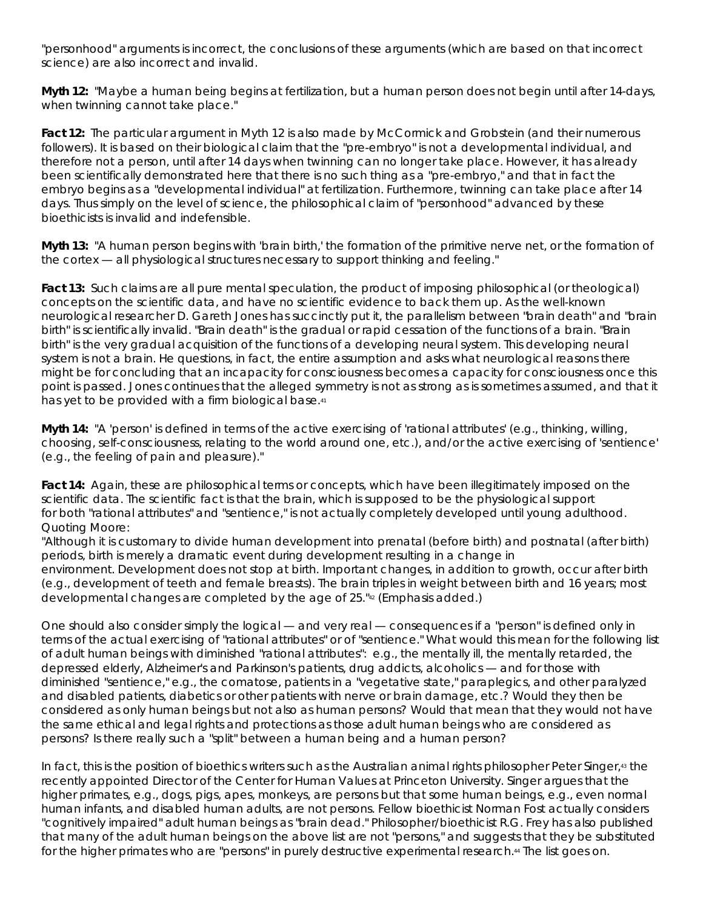"personhood" arguments is incorrect, the conclusions of these arguments (which are based on that incorrect science) are also incorrect and invalid.

**Myth 12:** "Maybe a human *being* begins at fertilization, but a human *person* does not begin until after 14-days, when twinning cannot take place."

**Fact 12:** The particular argument in Myth 12 is also made by McCormick and Grobstein (and their numerous followers). It is based on their biological claim that the "pre-embryo" is not a developmental individual, and therefore not a person, until after 14 days when twinning can no longer take place. However, it has already been scientifically demonstrated here that there is no such thing as a "pre-embryo," and that in fact the embryo begins as a "developmental individual" at fertilization. Furthermore, twinning can take place after 14 days. Thus simply on the level of science, the philosophical claim of "personhood" advanced by these bioethicists is invalid and indefensible.

**Myth 13:** "A human *person* begins with 'brain birth,' the formation of the primitive nerve net, or the formation of the cortex — all physiological structures necessary to support thinking and feeling."

**Fact 13:** Such claims are all pure mental speculation, the product of imposing philosophical (or theological) concepts on the scientific data, and have no scientific evidence to back them up. As the well-known neurological researcher D. Gareth Jones has succinctly put it, the parallelism between "brain death" and "brain birth" is *scientifically invalid*. "Brain death" is the gradual or rapid cessation of the functions of a brain. "Brain birth" is the very gradual acquisition of the functions of a developing neural system. This developing neural system is not a brain. He questions, in fact, the entire assumption and asks what neurological reasons there might be for concluding that an incapacity for consciousness becomes a capacity for consciousness once this point is passed. Jones continues that the alleged symmetry is not as strong as is sometimes assumed, and *that it has yet to be provided with a firm biological base*.41

**Myth 14:** "A 'person' is defined in terms of the active exercising of 'rational attributes' (e.g., thinking, willing, choosing, self-consciousness, relating to the world around one, etc.), and/or the active exercising of 'sentience' (e.g., the feeling of pain and pleasure)."

**Fact 14:** Again, these are philosophical terms or concepts, which have been illegitimately imposed on the scientific data. The scientific fact is that the brain, which is supposed to be the physiological support for *both* "rational attributes" *and* "sentience," is not actually completely developed until young adulthood. Quoting Moore:

"Although it is customary to divide human development into prenatal (before birth) and postnatal (after birth) periods, birth is merely a dramatic event during development resulting in a change in environment. *Development does not stop at birth.* Important changes, in addition to growth, occur after birth (e.g., development of teeth and female breasts). The brain triples in weight between birth and 16 years; *most developmental changes are completed by the age of 25*."42 (Emphasis added.)

One should also consider simply the logical — and very real — consequences if a "person" is defined only in terms of the actual exercising of "rational attributes" or of "sentience." What would this mean for the following list of adult human beings with diminished "rational attributes": e.g., the mentally ill, the mentally retarded, the depressed elderly, Alzheimer's and Parkinson's patients, drug addicts, alcoholics — and for those with diminished "sentience," e.g., the comatose, patients in a "vegetative state," paraplegics, and other paralyzed and disabled patients, diabetics or other patients with nerve or brain damage, etc.? Would they then be considered as only human beings but not also as human persons? Would that mean that they would not have the same ethical and legal rights and protections as those adult human beings who are considered as persons? Is there really such a "split" between a human being and a human person?

In fact, this is the position of bioethics writers such as the Australian animal rights philosopher Peter Singer,<sup>43</sup> the recently appointed Director of the Center for Human Values at Princeton University. Singer argues that the higher primates, e.g., dogs, pigs, apes, monkeys, are persons but that some human beings, e.g., even normal human infants, and disabled human adults, are not persons. Fellow bioethicist Norman Fost actually considers "cognitively impaired" adult human beings as "brain dead." Philosopher/bioethicist R.G. Frey has also published that many of the adult human beings on the above list are not "persons," and suggests that they be substituted for the higher primates who are "persons" in purely destructive experimental research.<sup>44</sup> The list goes on.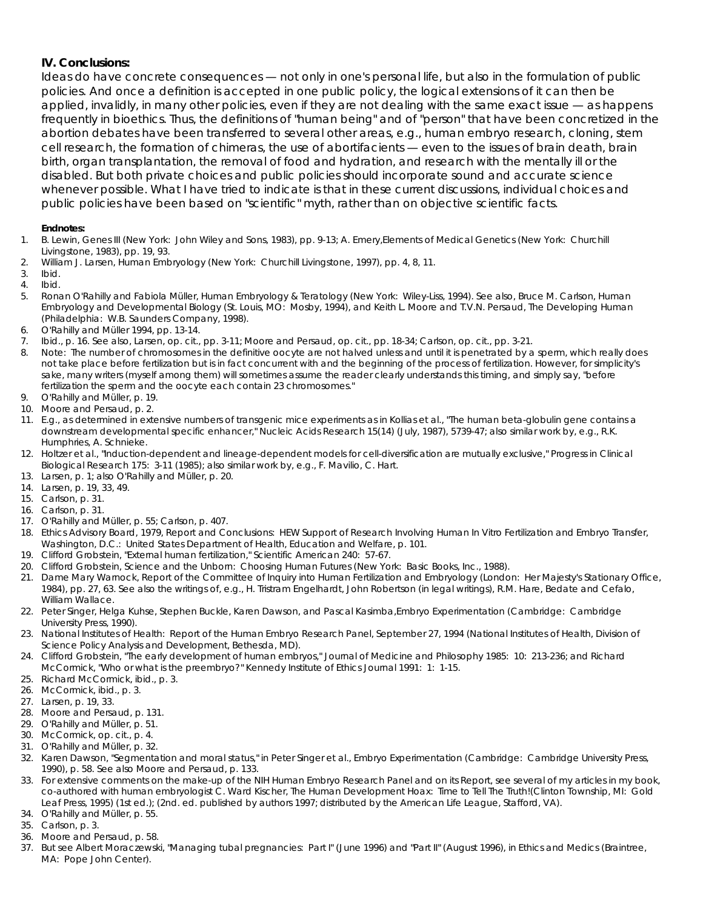### **IV. Conclusions:**

Ideas do have concrete consequences — not only in one's personal life, but also in the formulation of public policies. And once a definition is accepted in one public policy, the logical extensions of it can then be applied, invalidly, in many other policies, even if they are not dealing with the same exact issue — as happens frequently in bioethics. Thus, the definitions of "human being" and of "person" that have been concretized in the abortion debates have been transferred to several other areas, e.g., human embryo research, cloning, stem cell research, the formation of chimeras, the use of abortifacients — even to the issues of brain death, brain birth, organ transplantation, the removal of food and hydration, and research with the mentally ill or the disabled. But both private choices and public policies should incorporate sound and accurate science whenever possible. What I have tried to indicate is that in these current discussions, individual choices and public policies have been based on "scientific" myth, rather than on objective scientific facts.

#### **Endnotes:**

- 1. B. Lewin, Genes III (New York: John Wiley and Sons, 1983), pp. 9-13; A. Emery,*Elements of Medical Genetics* (New York: Churchill Livingstone, 1983), pp. 19, 93.
- 2. William J. Larsen, *Human Embryology* (New York: Churchill Livingstone, 1997), pp. 4, 8, 11.
- 3. *Ibid*.
- 4. *Ibid*.
- 5. Ronan O'Rahilly and Fabiola Müller, *Human Embryology & Teratology* (New York: Wiley-Liss, 1994). See also, Bruce M. Carlson, Human Embryology and Developmental Biology (St. Louis, MO: Mosby, 1994), and Keith L. Moore and T.V.N. Persaud, The Developing Human (Philadelphia: W.B. Saunders Company, 1998).
- 6. O'Rahilly and Müller 1994, pp. 13-14.
- 7. *Ibid*., p. 16. See also, Larsen, op. cit., pp. 3-11; Moore and Persaud, op. cit., pp. 18-34; Carlson, op. cit., pp. 3-21.
- 8. Note: The number of chromosomes in the definitive oocyte are not halved unless and until it is penetrated by a sperm, which really does not take place before fertilization but is in fact concurrent with and the beginning of the process of fertilization. However, for simplicity's sake, many writers (myself among them) will sometimes assume the reader clearly understands this timing, and simply say, "before fertilization the sperm and the oocyte each contain 23 chromosomes."
- 9. O'Rahilly and Müller, p. 19.
- 10. Moore and Persaud, p. 2.
- 11. E.g., as determined in extensive numbers of transgenic mice experiments as in Kollias et al., "The human beta-globulin gene contains a downstream developmental specific enhancer," *Nucleic Acids Research* 15(14) (July, 1987), 5739-47; also similar work by, e.g., R.K. Humphries, A. Schnieke.
- 12. Holtzer et al., "Induction-dependent and lineage-dependent models for cell-diversification are mutually exclusive," Progress in Clinical Biological Research 175: 3-11 (1985); also similar work by, e.g., F. Mavilio, C. Hart.
- 13. Larsen, p. 1; also O'Rahilly and Müller, p. 20.
- 14. Larsen, p. 19, 33, 49.
- 15. Carlson, p. 31.
- 16. Carlson, p. 31.
- 17. O'Rahilly and Müller, p. 55; Carlson, p. 407.
- 18. Ethics Advisory Board, 1979, *Report and Conclusions: HEW Support of Research Involving Human In Vitro Fertilization and Embryo Transfer*, Washington, D.C.: United States Department of Health, Education and Welfare, p. 101.
- 19. Clifford Grobstein, "External human fertilization," *Scientific American* 240: 57-67.
- 20. Clifford Grobstein, *Science and the Unborn: Choosing Human Futures* (New York: Basic Books, Inc., 1988).
- 21. Dame Mary Warnock, *Report of the Committee of Inquiry into Human Fertilization and Embryology* (London: Her Majesty's Stationary Office, 1984), pp. 27, 63. See also the writings of, e.g., H. Tristram Engelhardt, John Robertson (in legal writings), R.M. Hare, Bedate and Cefalo, William Wallace.
- 22. Peter Singer, Helga Kuhse, Stephen Buckle, Karen Dawson, and Pascal Kasimba,*Embryo Experimentation* (Cambridge: Cambridge University Press, 1990).
- 23. *National Institutes of Health: Report of the Human Embryo Research Panel*, September 27, 1994 (National Institutes of Health, Division of Science Policy Analysis and Development, Bethesda, MD).
- 24. Clifford Grobstein, "The early development of human embryos," *Journal of Medicine and Philosophy* 1985: 10: 213-236; and Richard McCormick, "Who or what is the preembryo?" *Kennedy Institute of Ethics Journal* 1991: 1: 1-15.
- 25. Richard McCormick, ibid., p. 3.
- 26. McCormick, ibid., p. 3.
- 27. Larsen, p. 19, 33.
- 28. Moore and Persaud, p. 131.
- 29. O'Rahilly and Müller, p. 51.
- 30. McCormick, op. cit., p. 4.
- 31. O'Rahilly and Müller, p. 32.
- 32. Karen Dawson, "Segmentation and moral status," in Peter Singer et al., *Embryo Experimentation* (Cambridge: Cambridge University Press, 1990), p. 58. See also Moore and Persaud, p. 133.
- 33. For extensive comments on the make-up of the NIH Human Embryo Research Panel and on its Report, see several of my articles in my book, co-authored with human embryologist C. Ward Kischer, *The Human Development Hoax: Time to Tell The Truth!*(Clinton Township, MI: Gold Leaf Press, 1995) (1st ed.); (2nd. ed. published by authors 1997; distributed by the American Life League, Stafford, VA).
- 34. O'Rahilly and Müller, p. 55.
- 35. Carlson, p. 3.
- 36. Moore and Persaud, p. 58.
- 37. But see Albert Moraczewski, "Managing tubal pregnancies: Part I" (June 1996) and "Part II" (August 1996), in *Ethics and Medics* (Braintree, MA: Pope John Center).